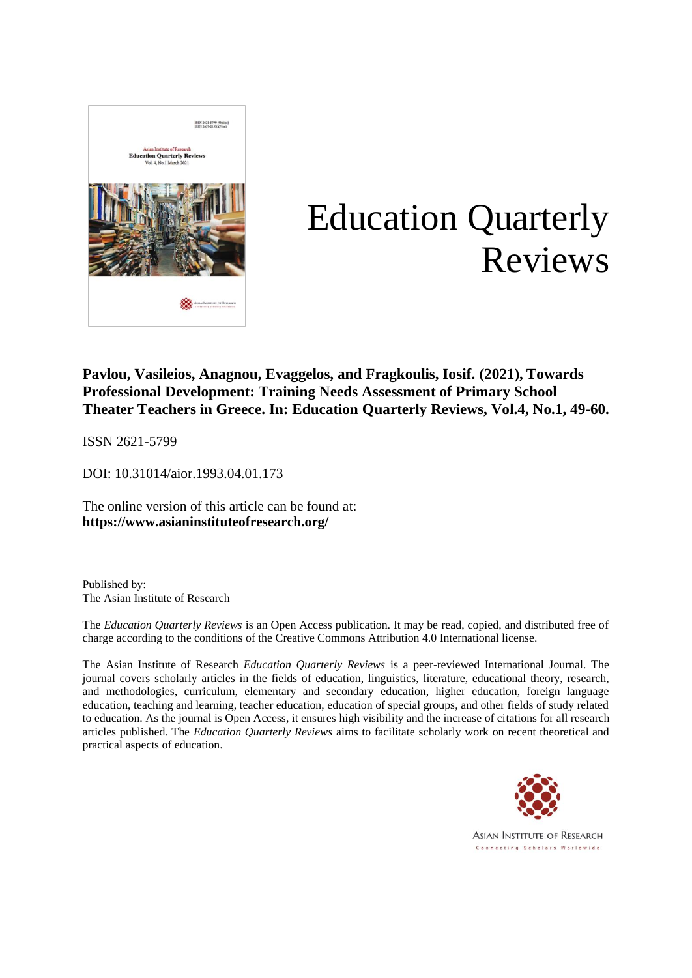

# Education Quarterly Reviews

### **Pavlou, Vasileios, Anagnou, Evaggelos, and Fragkoulis, Iosif. (2021), Towards Professional Development: Training Needs Assessment of Primary School Theater Teachers in Greece. In: Education Quarterly Reviews, Vol.4, No.1, 49-60.**

ISSN 2621-5799

DOI: 10.31014/aior.1993.04.01.173

The online version of this article can be found at: **[https://www.](about:blank)asianinstituteofresearch.org/**

Published by: The Asian Institute of Research

The *Education Quarterly Reviews* is an Open Access publication. It may be read, copied, and distributed free of charge according to the conditions of the Creative Commons Attribution 4.0 International license.

The Asian Institute of Research *Education Quarterly Reviews* is a peer-reviewed International Journal. The journal covers scholarly articles in the fields of education, linguistics, literature, educational theory, research, and methodologies, curriculum, elementary and secondary education, higher education, foreign language education, teaching and learning, teacher education, education of special groups, and other fields of study related to education. As the journal is Open Access, it ensures high visibility and the increase of citations for all research articles published. The *Education Quarterly Reviews* aims to facilitate scholarly work on recent theoretical and practical aspects of education.



**ASIAN INSTITUTE OF RESEARCH** Connecting Scholars Worldwide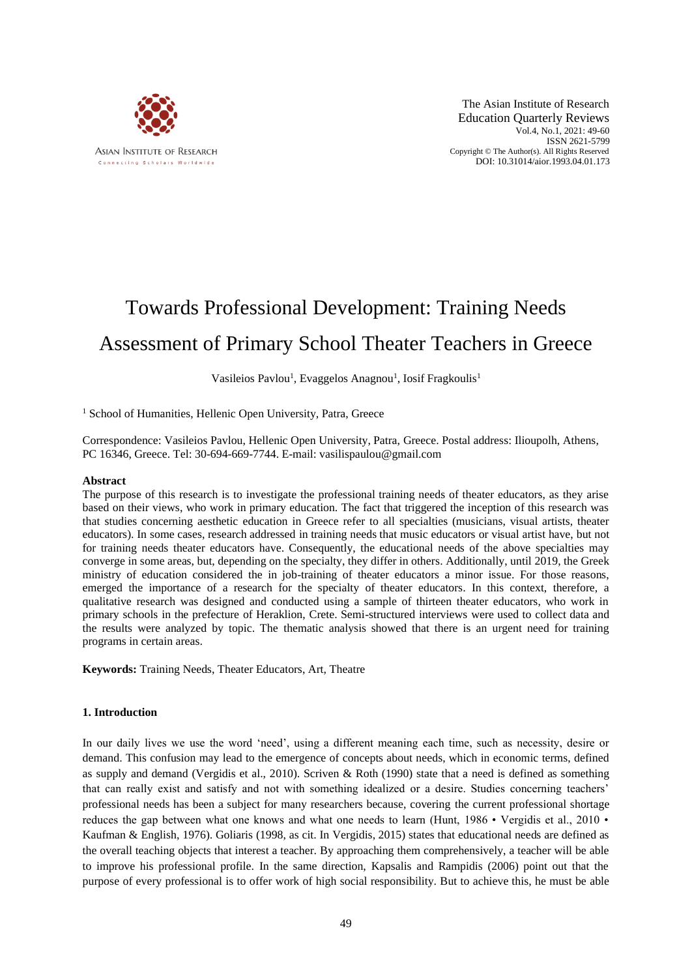

The Asian Institute of Research Education Quarterly Reviews Vol.4, No.1, 2021: 49-60 ISSN 2621-5799 Copyright © The Author(s). All Rights Reserved DOI: 10.31014/aior.1993.04.01.173

## Towards Professional Development: Training Needs Assessment of Primary School Theater Teachers in Greece

Vasileios Pavlou<sup>1</sup>, Evaggelos Anagnou<sup>1</sup>, Iosif Fragkoulis<sup>1</sup>

<sup>1</sup> School of Humanities, Hellenic Open University, Patra, Greece

Correspondence: Vasileios Pavlou, Hellenic Open University, Patra, Greece. Postal address: Ilioupolh, Athens, PC 16346, Greece. Tel: 30-694-669-7744. E-mail: vasilispaulou@gmail.com

#### **Abstract**

The purpose of this research is to investigate the professional training needs of theater educators, as they arise based on their views, who work in primary education. The fact that triggered the inception of this research was that studies concerning aesthetic education in Greece refer to all specialties (musicians, visual artists, theater educators). In some cases, research addressed in training needs that music educators or visual artist have, but not for training needs theater educators have. Consequently, the educational needs of the above specialties may converge in some areas, but, depending on the specialty, they differ in others. Additionally, until 2019, the Greek ministry of education considered the in job-training of theater educators a minor issue. For those reasons, emerged the importance of a research for the specialty of theater educators. In this context, therefore, a qualitative research was designed and conducted using a sample of thirteen theater educators, who work in primary schools in the prefecture of Heraklion, Crete. Semi-structured interviews were used to collect data and the results were analyzed by topic. The thematic analysis showed that there is an urgent need for training programs in certain areas.

**Keywords:** Training Needs, Theater Educators, Art, Theatre

#### **1. Introduction**

In our daily lives we use the word 'need', using a different meaning each time, such as necessity, desire or demand. This confusion may lead to the emergence of concepts about needs, which in economic terms, defined as supply and demand (Vergidis et al., 2010). Scriven & Roth (1990) state that a need is defined as something that can really exist and satisfy and not with something idealized or a desire. Studies concerning teachers' professional needs has been a subject for many researchers because, covering the current professional shortage reduces the gap between what one knows and what one needs to learn (Hunt, 1986 • Vergidis et al., 2010 • Kaufman & English, 1976). Goliaris (1998, as cit. In Vergidis, 2015) states that educational needs are defined as the overall teaching objects that interest a teacher. By approaching them comprehensively, a teacher will be able to improve his professional profile. In the same direction, Kapsalis and Rampidis (2006) point out that the purpose of every professional is to offer work of high social responsibility. But to achieve this, he must be able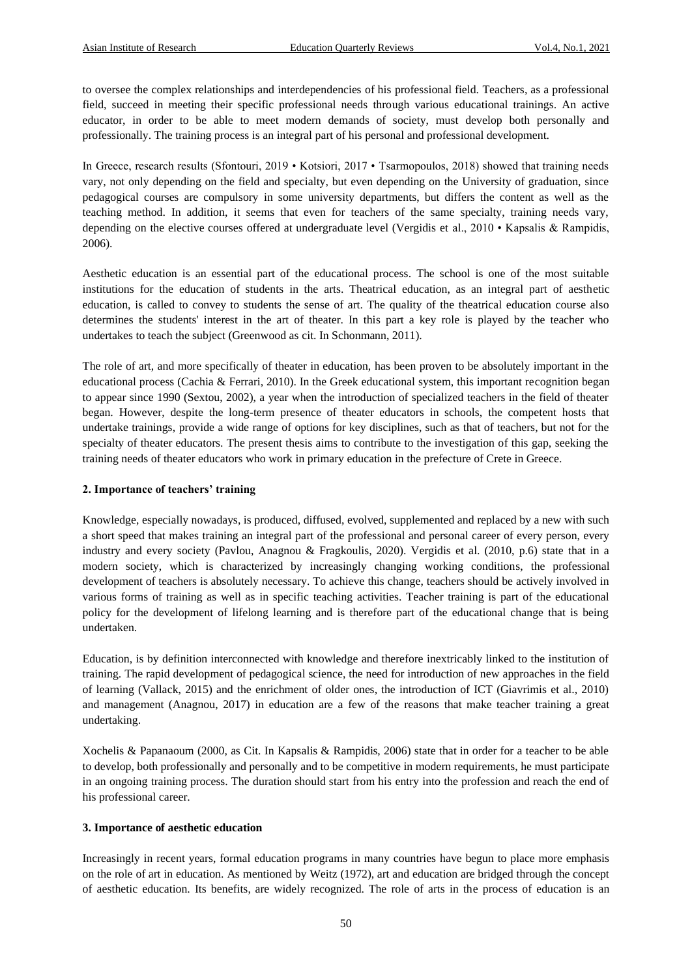to oversee the complex relationships and interdependencies of his professional field. Teachers, as a professional field, succeed in meeting their specific professional needs through various educational trainings. An active educator, in order to be able to meet modern demands of society, must develop both personally and professionally. The training process is an integral part of his personal and professional development.

In Greece, research results (Sfontouri, 2019 • Kotsiori, 2017 • Tsarmopoulos, 2018) showed that training needs vary, not only depending on the field and specialty, but even depending on the University of graduation, since pedagogical courses are compulsory in some university departments, but differs the content as well as the teaching method. In addition, it seems that even for teachers of the same specialty, training needs vary, depending on the elective courses offered at undergraduate level (Vergidis et al., 2010 • Kapsalis & Rampidis, 2006).

Aesthetic education is an essential part of the educational process. The school is one of the most suitable institutions for the education of students in the arts. Theatrical education, as an integral part of aesthetic education, is called to convey to students the sense of art. The quality of the theatrical education course also determines the students' interest in the art of theater. In this part a key role is played by the teacher who undertakes to teach the subject (Greenwood as cit. In Schonmann, 2011).

The role of art, and more specifically of theater in education, has been proven to be absolutely important in the educational process (Cachia & Ferrari, 2010). In the Greek educational system, this important recognition began to appear since 1990 (Sextou, 2002), a year when the introduction of specialized teachers in the field of theater began. However, despite the long-term presence of theater educators in schools, the competent hosts that undertake trainings, provide a wide range of options for key disciplines, such as that of teachers, but not for the specialty of theater educators. The present thesis aims to contribute to the investigation of this gap, seeking the training needs of theater educators who work in primary education in the prefecture of Crete in Greece.

#### **2. Importance of teachers' training**

Knowledge, especially nowadays, is produced, diffused, evolved, supplemented and replaced by a new with such a short speed that makes training an integral part of the professional and personal career of every person, every industry and every society (Pavlou, Anagnou & Fragkoulis, 2020). Vergidis et al. (2010, p.6) state that in a modern society, which is characterized by increasingly changing working conditions, the professional development of teachers is absolutely necessary. To achieve this change, teachers should be actively involved in various forms of training as well as in specific teaching activities. Teacher training is part of the educational policy for the development of lifelong learning and is therefore part of the educational change that is being undertaken.

Education, is by definition interconnected with knowledge and therefore inextricably linked to the institution of training. The rapid development of pedagogical science, the need for introduction of new approaches in the field of learning (Vallack, 2015) and the enrichment of older ones, the introduction of ICT (Giavrimis et al., 2010) and management (Anagnou, 2017) in education are a few of the reasons that make teacher training a great undertaking.

Xochelis & Papanaoum (2000, as Cit. In Kapsalis & Rampidis, 2006) state that in order for a teacher to be able to develop, both professionally and personally and to be competitive in modern requirements, he must participate in an ongoing training process. The duration should start from his entry into the profession and reach the end of his professional career.

#### **3. Importance of aesthetic education**

Increasingly in recent years, formal education programs in many countries have begun to place more emphasis on the role of art in education. As mentioned by Weitz (1972), art and education are bridged through the concept of aesthetic education. Its benefits, are widely recognized. The role of arts in the process of education is an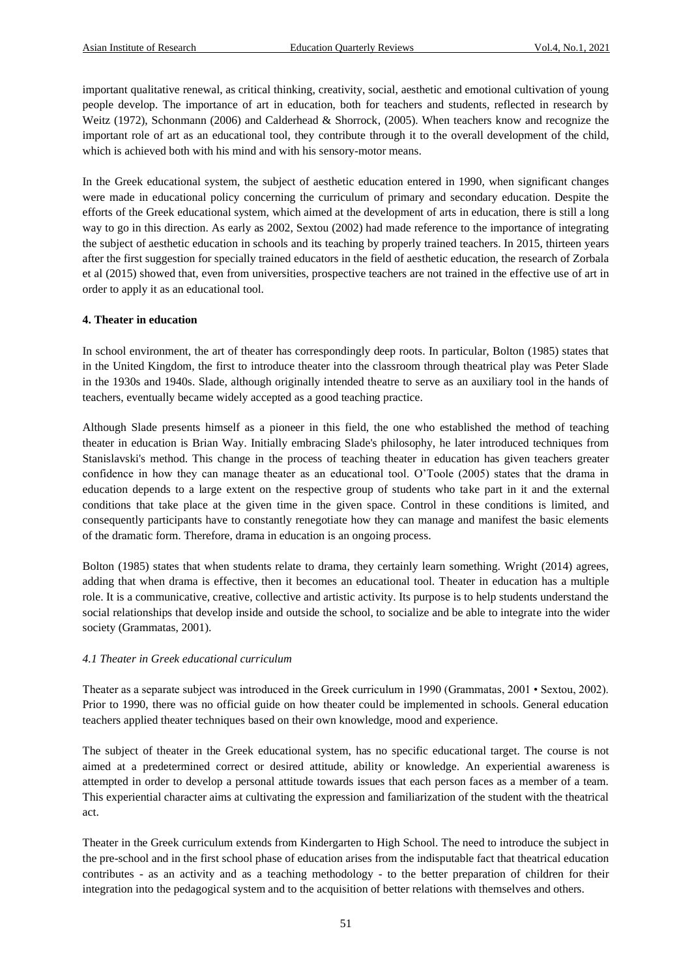important qualitative renewal, as critical thinking, creativity, social, aesthetic and emotional cultivation of young people develop. The importance of art in education, both for teachers and students, reflected in research by Weitz (1972), Schonmann (2006) and Calderhead & Shorrock, (2005). When teachers know and recognize the important role of art as an educational tool, they contribute through it to the overall development of the child, which is achieved both with his mind and with his sensory-motor means.

In the Greek educational system, the subject of aesthetic education entered in 1990, when significant changes were made in educational policy concerning the curriculum of primary and secondary education. Despite the efforts of the Greek educational system, which aimed at the development of arts in education, there is still a long way to go in this direction. As early as 2002, Sextou (2002) had made reference to the importance of integrating the subject of aesthetic education in schools and its teaching by properly trained teachers. In 2015, thirteen years after the first suggestion for specially trained educators in the field of aesthetic education, the research of Zorbala et al (2015) showed that, even from universities, prospective teachers are not trained in the effective use of art in order to apply it as an educational tool.

#### **4. Theater in education**

In school environment, the art of theater has correspondingly deep roots. In particular, Bolton (1985) states that in the United Kingdom, the first to introduce theater into the classroom through theatrical play was Peter Slade in the 1930s and 1940s. Slade, although originally intended theatre to serve as an auxiliary tool in the hands of teachers, eventually became widely accepted as a good teaching practice.

Although Slade presents himself as a pioneer in this field, the one who established the method of teaching theater in education is Brian Way. Initially embracing Slade's philosophy, he later introduced techniques from Stanislavski's method. This change in the process of teaching theater in education has given teachers greater confidence in how they can manage theater as an educational tool. O'Toole (2005) states that the drama in education depends to a large extent on the respective group of students who take part in it and the external conditions that take place at the given time in the given space. Control in these conditions is limited, and consequently participants have to constantly renegotiate how they can manage and manifest the basic elements of the dramatic form. Therefore, drama in education is an ongoing process.

Bolton (1985) states that when students relate to drama, they certainly learn something. Wright (2014) agrees, adding that when drama is effective, then it becomes an educational tool. Theater in education has a multiple role. It is a communicative, creative, collective and artistic activity. Its purpose is to help students understand the social relationships that develop inside and outside the school, to socialize and be able to integrate into the wider society (Grammatas, 2001).

#### *4.1 Theater in Greek educational curriculum*

Theater as a separate subject was introduced in the Greek curriculum in 1990 (Grammatas, 2001 • Sextou, 2002). Prior to 1990, there was no official guide on how theater could be implemented in schools. General education teachers applied theater techniques based on their own knowledge, mood and experience.

The subject of theater in the Greek educational system, has no specific educational target. The course is not aimed at a predetermined correct or desired attitude, ability or knowledge. An experiential awareness is attempted in order to develop a personal attitude towards issues that each person faces as a member of a team. This experiential character aims at cultivating the expression and familiarization of the student with the theatrical act.

Theater in the Greek curriculum extends from Kindergarten to High School. The need to introduce the subject in the pre-school and in the first school phase of education arises from the indisputable fact that theatrical education contributes - as an activity and as a teaching methodology - to the better preparation of children for their integration into the pedagogical system and to the acquisition of better relations with themselves and others.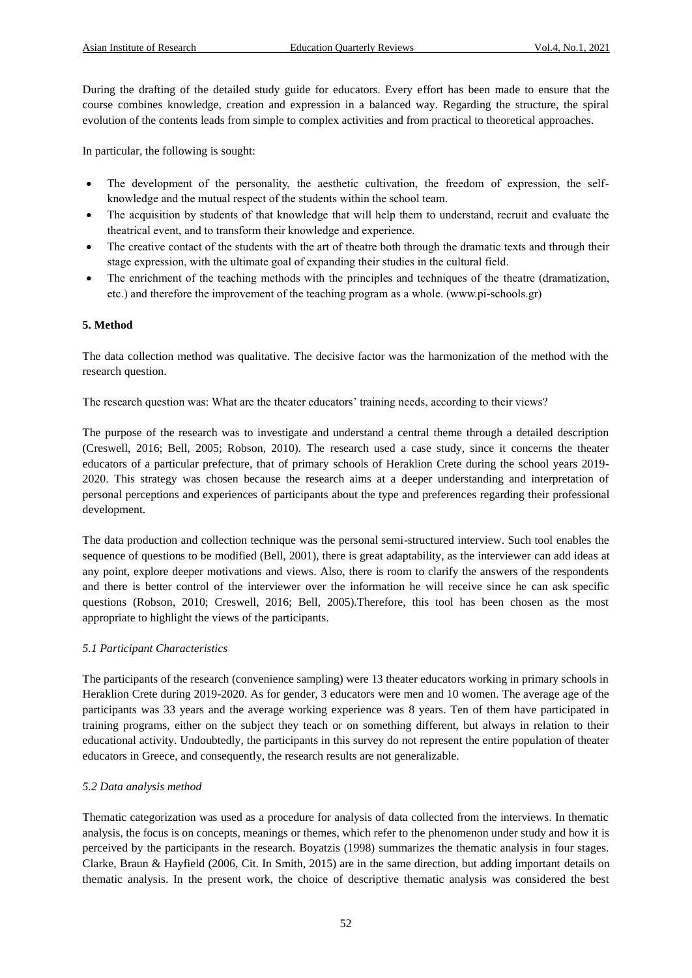During the drafting of the detailed study guide for educators. Every effort has been made to ensure that the course combines knowledge, creation and expression in a balanced way. Regarding the structure, the spiral evolution of the contents leads from simple to complex activities and from practical to theoretical approaches.

In particular, the following is sought:

- The development of the personality, the aesthetic cultivation, the freedom of expression, the selfknowledge and the mutual respect of the students within the school team.
- The acquisition by students of that knowledge that will help them to understand, recruit and evaluate the theatrical event, and to transform their knowledge and experience.
- The creative contact of the students with the art of theatre both through the dramatic texts and through their stage expression, with the ultimate goal of expanding their studies in the cultural field.
- The enrichment of the teaching methods with the principles and techniques of the theatre (dramatization, etc.) and therefore the improvement of the teaching program as a whole. (www.pi-schools.gr)

#### **5. Method**

The data collection method was qualitative. The decisive factor was the harmonization of the method with the research question.

The research question was: What are the theater educators' training needs, according to their views?

The purpose of the research was to investigate and understand a central theme through a detailed description (Creswell, 2016; Bell, 2005; Robson, 2010). The research used a case study, since it concerns the theater educators of a particular prefecture, that of primary schools of Heraklion Crete during the school years 2019- 2020. This strategy was chosen because the research aims at a deeper understanding and interpretation of personal perceptions and experiences of participants about the type and preferences regarding their professional development.

The data production and collection technique was the personal semi-structured interview. Such tool enables the sequence of questions to be modified (Bell, 2001), there is great adaptability, as the interviewer can add ideas at any point, explore deeper motivations and views. Also, there is room to clarify the answers of the respondents and there is better control of the interviewer over the information he will receive since he can ask specific questions (Robson, 2010; Creswell, 2016; Bell, 2005).Therefore, this tool has been chosen as the most appropriate to highlight the views of the participants.

#### *5.1 Participant Characteristics*

The participants of the research (convenience sampling) were 13 theater educators working in primary schools in Heraklion Crete during 2019-2020. As for gender, 3 educators were men and 10 women. The average age of the participants was 33 years and the average working experience was 8 years. Ten of them have participated in training programs, either on the subject they teach or on something different, but always in relation to their educational activity. Undoubtedly, the participants in this survey do not represent the entire population of theater educators in Greece, and consequently, the research results are not generalizable.

#### *5.2 Data analysis method*

Thematic categorization was used as a procedure for analysis of data collected from the interviews. In thematic analysis, the focus is on concepts, meanings or themes, which refer to the phenomenon under study and how it is perceived by the participants in the research. Boyatzis (1998) summarizes the thematic analysis in four stages. Clarke, Braun & Hayfield (2006, Cit. In Smith, 2015) are in the same direction, but adding important details on thematic analysis. In the present work, the choice of descriptive thematic analysis was considered the best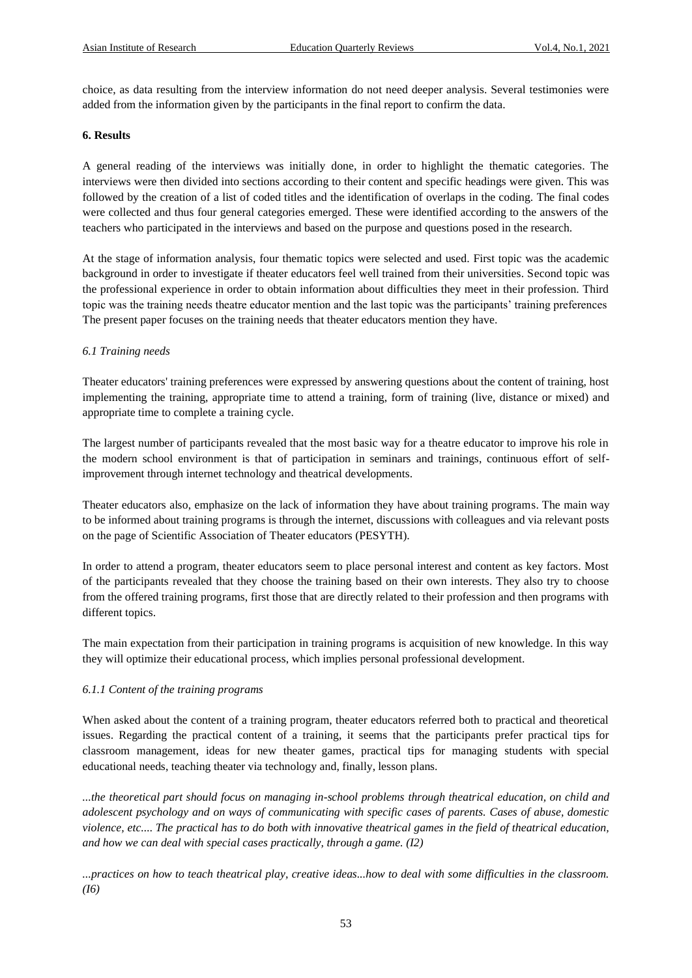choice, as data resulting from the interview information do not need deeper analysis. Several testimonies were added from the information given by the participants in the final report to confirm the data.

#### **6. Results**

A general reading of the interviews was initially done, in order to highlight the thematic categories. The interviews were then divided into sections according to their content and specific headings were given. This was followed by the creation of a list of coded titles and the identification of overlaps in the coding. The final codes were collected and thus four general categories emerged. These were identified according to the answers of the teachers who participated in the interviews and based on the purpose and questions posed in the research.

At the stage of information analysis, four thematic topics were selected and used. First topic was the academic background in order to investigate if theater educators feel well trained from their universities. Second topic was the professional experience in order to obtain information about difficulties they meet in their profession. Third topic was the training needs theatre educator mention and the last topic was the participants' training preferences The present paper focuses on the training needs that theater educators mention they have.

#### *6.1 Training needs*

Theater educators' training preferences were expressed by answering questions about the content of training, host implementing the training, appropriate time to attend a training, form of training (live, distance or mixed) and appropriate time to complete a training cycle.

The largest number of participants revealed that the most basic way for a theatre educator to improve his role in the modern school environment is that of participation in seminars and trainings, continuous effort of selfimprovement through internet technology and theatrical developments.

Theater educators also, emphasize on the lack of information they have about training programs. The main way to be informed about training programs is through the internet, discussions with colleagues and via relevant posts on the page of Scientific Association of Theater educators (PESYTH).

In order to attend a program, theater educators seem to place personal interest and content as key factors. Most of the participants revealed that they choose the training based on their own interests. They also try to choose from the offered training programs, first those that are directly related to their profession and then programs with different topics.

The main expectation from their participation in training programs is acquisition of new knowledge. In this way they will optimize their educational process, which implies personal professional development.

#### *6.1.1 Content of the training programs*

When asked about the content of a training program, theater educators referred both to practical and theoretical issues. Regarding the practical content of a training, it seems that the participants prefer practical tips for classroom management, ideas for new theater games, practical tips for managing students with special educational needs, teaching theater via technology and, finally, lesson plans.

*...the theoretical part should focus on managing in-school problems through theatrical education, on child and adolescent psychology and on ways of communicating with specific cases of parents. Cases of abuse, domestic violence, etc.... The practical has to do both with innovative theatrical games in the field of theatrical education, and how we can deal with special cases practically, through a game. (I2)* 

*...practices on how to teach theatrical play, creative ideas...how to deal with some difficulties in the classroom. (I6)*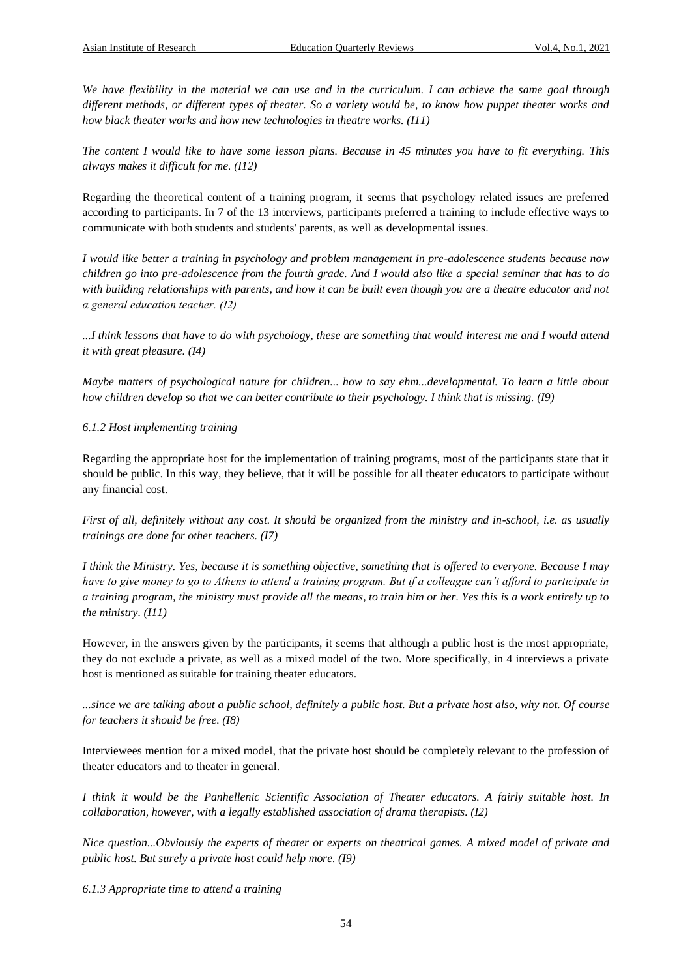*We have flexibility in the material we can use and in the curriculum. I can achieve the same goal through different methods, or different types of theater. So a variety would be, to know how puppet theater works and how black theater works and how new technologies in theatre works. (I11)* 

*The content I would like to have some lesson plans. Because in 45 minutes you have to fit everything. This always makes it difficult for me. (I12)* 

Regarding the theoretical content of a training program, it seems that psychology related issues are preferred according to participants. In 7 of the 13 interviews, participants preferred a training to include effective ways to communicate with both students and students' parents, as well as developmental issues.

*I would like better a training in psychology and problem management in pre-adolescence students because now children go into pre-adolescence from the fourth grade. And I would also like a special seminar that has to do with building relationships with parents, and how it can be built even though you are a theatre educator and not α general education teacher. (Ι2)* 

*...I think lessons that have to do with psychology, these are something that would interest me and I would attend it with great pleasure. (I4)* 

*Maybe matters of psychological nature for children... how to say ehm...developmental. To learn a little about how children develop so that we can better contribute to their psychology. I think that is missing. (I9)* 

#### *6.1.2 Host implementing training*

Regarding the appropriate host for the implementation of training programs, most of the participants state that it should be public. In this way, they believe, that it will be possible for all theater educators to participate without any financial cost.

*First of all, definitely without any cost. It should be organized from the ministry and in-school, i.e. as usually trainings are done for other teachers. (I7)* 

*I think the Ministry. Yes, because it is something objective, something that is offered to everyone. Because I may have to give money to go to Athens to attend a training program. But if a colleague can't afford to participate in a training program, the ministry must provide all the means, to train him or her. Yes this is a work entirely up to the ministry. (I11)* 

However, in the answers given by the participants, it seems that although a public host is the most appropriate, they do not exclude a private, as well as a mixed model of the two. More specifically, in 4 interviews a private host is mentioned as suitable for training theater educators.

*...since we are talking about a public school, definitely a public host. But a private host also, why not. Of course for teachers it should be free. (I8)* 

Interviewees mention for a mixed model, that the private host should be completely relevant to the profession of theater educators and to theater in general.

*I think it would be the Panhellenic Scientific Association of Theater educators. A fairly suitable host. In collaboration, however, with a legally established association of drama therapists. (I2)* 

*Nice question...Obviously the experts of theater or experts on theatrical games. A mixed model of private and public host. But surely a private host could help more. (I9)* 

*6.1.3 Appropriate time to attend a training*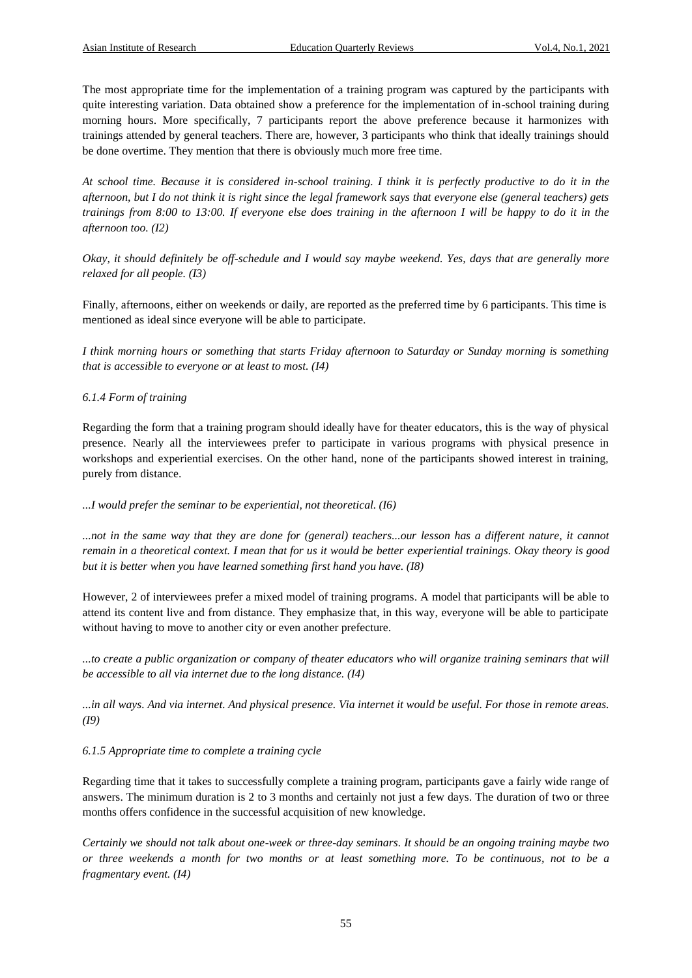The most appropriate time for the implementation of a training program was captured by the participants with quite interesting variation. Data obtained show a preference for the implementation of in-school training during morning hours. More specifically, 7 participants report the above preference because it harmonizes with trainings attended by general teachers. There are, however, 3 participants who think that ideally trainings should be done overtime. They mention that there is obviously much more free time.

*At school time. Because it is considered in-school training. I think it is perfectly productive to do it in the afternoon, but I do not think it is right since the legal framework says that everyone else (general teachers) gets trainings from 8:00 to 13:00. If everyone else does training in the afternoon I will be happy to do it in the afternoon too. (I2)* 

*Okay, it should definitely be off-schedule and I would say maybe weekend. Yes, days that are generally more relaxed for all people. (I3)* 

Finally, afternoons, either on weekends or daily, are reported as the preferred time by 6 participants. This time is mentioned as ideal since everyone will be able to participate.

*I think morning hours or something that starts Friday afternoon to Saturday or Sunday morning is something that is accessible to everyone or at least to most. (I4)* 

#### *6.1.4 Form of training*

Regarding the form that a training program should ideally have for theater educators, this is the way of physical presence. Nearly all the interviewees prefer to participate in various programs with physical presence in workshops and experiential exercises. On the other hand, none of the participants showed interest in training, purely from distance.

#### *...I would prefer the seminar to be experiential, not theoretical. (I6)*

*...not in the same way that they are done for (general) teachers...our lesson has a different nature, it cannot remain in a theoretical context. I mean that for us it would be better experiential trainings. Okay theory is good but it is better when you have learned something first hand you have. (I8)* 

However, 2 of interviewees prefer a mixed model of training programs. A model that participants will be able to attend its content live and from distance. They emphasize that, in this way, everyone will be able to participate without having to move to another city or even another prefecture.

*...to create a public organization or company of theater educators who will organize training seminars that will be accessible to all via internet due to the long distance. (I4)* 

*...in all ways. And via internet. And physical presence. Via internet it would be useful. For those in remote areas. (I9)* 

#### *6.1.5 Appropriate time to complete a training cycle*

Regarding time that it takes to successfully complete a training program, participants gave a fairly wide range of answers. The minimum duration is 2 to 3 months and certainly not just a few days. The duration of two or three months offers confidence in the successful acquisition of new knowledge.

*Certainly we should not talk about one-week or three-day seminars. It should be an ongoing training maybe two or three weekends a month for two months or at least something more. To be continuous, not to be a fragmentary event. (I4)*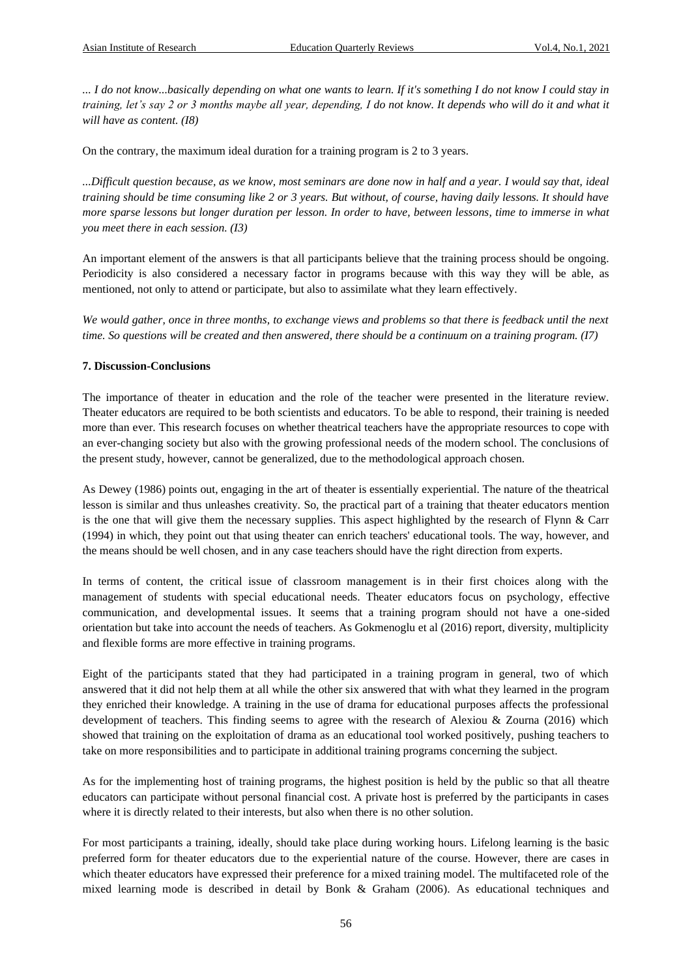*... I do not know...basically depending on what one wants to learn. If it's something I do not know I could stay in training, let's say 2 or 3 months maybe all year, depending, I do not know. It depends who will do it and what it will have as content. (I8)* 

On the contrary, the maximum ideal duration for a training program is 2 to 3 years.

*...Difficult question because, as we know, most seminars are done now in half and a year. I would say that, ideal training should be time consuming like 2 or 3 years. But without, of course, having daily lessons. It should have more sparse lessons but longer duration per lesson. In order to have, between lessons, time to immerse in what you meet there in each session. (I3)* 

An important element of the answers is that all participants believe that the training process should be ongoing. Periodicity is also considered a necessary factor in programs because with this way they will be able, as mentioned, not only to attend or participate, but also to assimilate what they learn effectively.

*We would gather, once in three months, to exchange views and problems so that there is feedback until the next time. So questions will be created and then answered, there should be a continuum on a training program. (I7)* 

#### **7. Discussion-Conclusions**

The importance of theater in education and the role of the teacher were presented in the literature review. Theater educators are required to be both scientists and educators. To be able to respond, their training is needed more than ever. This research focuses on whether theatrical teachers have the appropriate resources to cope with an ever-changing society but also with the growing professional needs of the modern school. The conclusions of the present study, however, cannot be generalized, due to the methodological approach chosen.

As Dewey (1986) points out, engaging in the art of theater is essentially experiential. The nature of the theatrical lesson is similar and thus unleashes creativity. So, the practical part of a training that theater educators mention is the one that will give them the necessary supplies. This aspect highlighted by the research of Flynn & Carr (1994) in which, they point out that using theater can enrich teachers' educational tools. The way, however, and the means should be well chosen, and in any case teachers should have the right direction from experts.

In terms of content, the critical issue of classroom management is in their first choices along with the management of students with special educational needs. Theater educators focus on psychology, effective communication, and developmental issues. It seems that a training program should not have a one-sided orientation but take into account the needs of teachers. As Gokmenoglu et al (2016) report, diversity, multiplicity and flexible forms are more effective in training programs.

Eight of the participants stated that they had participated in a training program in general, two of which answered that it did not help them at all while the other six answered that with what they learned in the program they enriched their knowledge. A training in the use of drama for educational purposes affects the professional development of teachers. This finding seems to agree with the research of Alexiou & Zourna (2016) which showed that training on the exploitation of drama as an educational tool worked positively, pushing teachers to take on more responsibilities and to participate in additional training programs concerning the subject.

As for the implementing host of training programs, the highest position is held by the public so that all theatre educators can participate without personal financial cost. A private host is preferred by the participants in cases where it is directly related to their interests, but also when there is no other solution.

For most participants a training, ideally, should take place during working hours. Lifelong learning is the basic preferred form for theater educators due to the experiential nature of the course. However, there are cases in which theater educators have expressed their preference for a mixed training model. The multifaceted role of the mixed learning mode is described in detail by Bonk & Graham (2006). As educational techniques and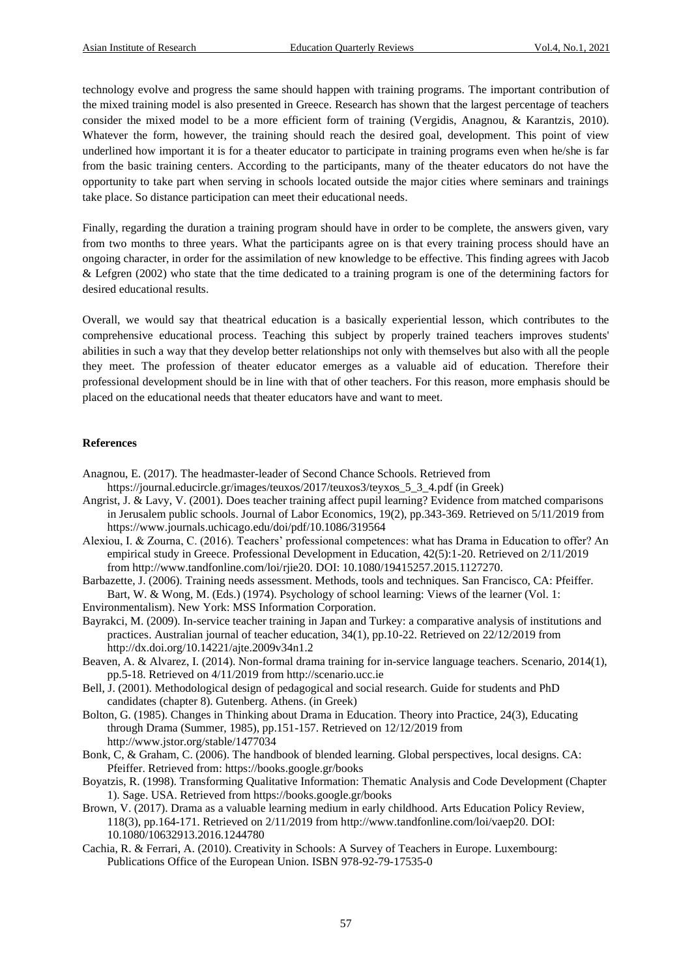technology evolve and progress the same should happen with training programs. The important contribution of the mixed training model is also presented in Greece. Research has shown that the largest percentage of teachers consider the mixed model to be a more efficient form of training (Vergidis, Anagnou, & Karantzis, 2010). Whatever the form, however, the training should reach the desired goal, development. This point of view underlined how important it is for a theater educator to participate in training programs even when he/she is far from the basic training centers. According to the participants, many of the theater educators do not have the opportunity to take part when serving in schools located outside the major cities where seminars and trainings take place. So distance participation can meet their educational needs.

Finally, regarding the duration a training program should have in order to be complete, the answers given, vary from two months to three years. What the participants agree on is that every training process should have an ongoing character, in order for the assimilation of new knowledge to be effective. This finding agrees with Jacob & Lefgren (2002) who state that the time dedicated to a training program is one of the determining factors for desired educational results.

Overall, we would say that theatrical education is a basically experiential lesson, which contributes to the comprehensive educational process. Teaching this subject by properly trained teachers improves students' abilities in such a way that they develop better relationships not only with themselves but also with all the people they meet. The profession of theater educator emerges as a valuable aid of education. Therefore their professional development should be in line with that of other teachers. For this reason, more emphasis should be placed on the educational needs that theater educators have and want to meet.

#### **References**

- Anagnou, E. (2017). The headmaster-leader of Second Chance Schools. Retrieved from https://journal.educircle.gr/images/teuxos/2017/teuxos3/teyxos\_5\_3\_4.pdf (in Greek)
- Angrist, J. & Lavy, V. (2001). Does teacher training affect pupil learning? Evidence from matched comparisons in Jerusalem public schools. Journal of Labor Economics, 19(2), pp.343-369. Retrieved on 5/11/2019 from https://www.journals.uchicago.edu/doi/pdf/10.1086/319564

Alexiou, I. & Zourna, C. (2016). Teachers' professional competences: what has Drama in Education to offer? An empirical study in Greece. Professional Development in Education, 42(5):1-20. Retrieved on 2/11/2019 from http://www.tandfonline.com/loi/rjie20. DOI: 10.1080/19415257.2015.1127270.

- Barbazette, J. (2006). Training needs assessment. Methods, tools and techniques. San Francisco, CA: Pfeiffer. Bart, W. & Wong, M. (Eds.) (1974). Psychology of school learning: Views of the learner (Vol. 1:
- Environmentalism). New York: MSS Information Corporation.
- Bayrakci, M. (2009). In-service teacher training in Japan and Turkey: a comparative analysis of institutions and practices. Australian journal of teacher education, 34(1), pp.10-22. Retrieved on 22/12/2019 from http://dx.doi.org/10.14221/ajte.2009v34n1.2
- Beaven, A. & Alvarez, I. (2014). Non-formal drama training for in-service language teachers. Scenario, 2014(1), pp.5-18. Retrieved on 4/11/2019 from http://scenario.ucc.ie
- Bell, J. (2001). Methodological design of pedagogical and social research. Guide for students and PhD candidates (chapter 8). Gutenberg. Athens. (in Greek)
- Bolton, G. (1985). Changes in Thinking about Drama in Education. Theory into Practice, 24(3), Educating through Drama (Summer, 1985), pp.151-157. Retrieved on 12/12/2019 from http://www.jstor.org/stable/1477034

Bonk, C, & Graham, C. (2006). The handbook of blended learning. Global perspectives, local designs. CA: Pfeiffer. Retrieved from: https://books.google.gr/books

- Boyatzis, R. (1998). Transforming Qualitative Information: Thematic Analysis and Code Development (Chapter 1). Sage. USA. Retrieved from https://books.google.gr/books
- Brown, V. (2017). Drama as a valuable learning medium in early childhood. Arts Education Policy Review, 118(3), pp.164-171. Retrieved on 2/11/2019 from http://www.tandfonline.com/loi/vaep20. DOI: 10.1080/10632913.2016.1244780
- Cachia, R. & Ferrari, A. (2010). Creativity in Schools: A Survey of Teachers in Europe. Luxembourg: Publications Office of the European Union. ISBN 978-92-79-17535-0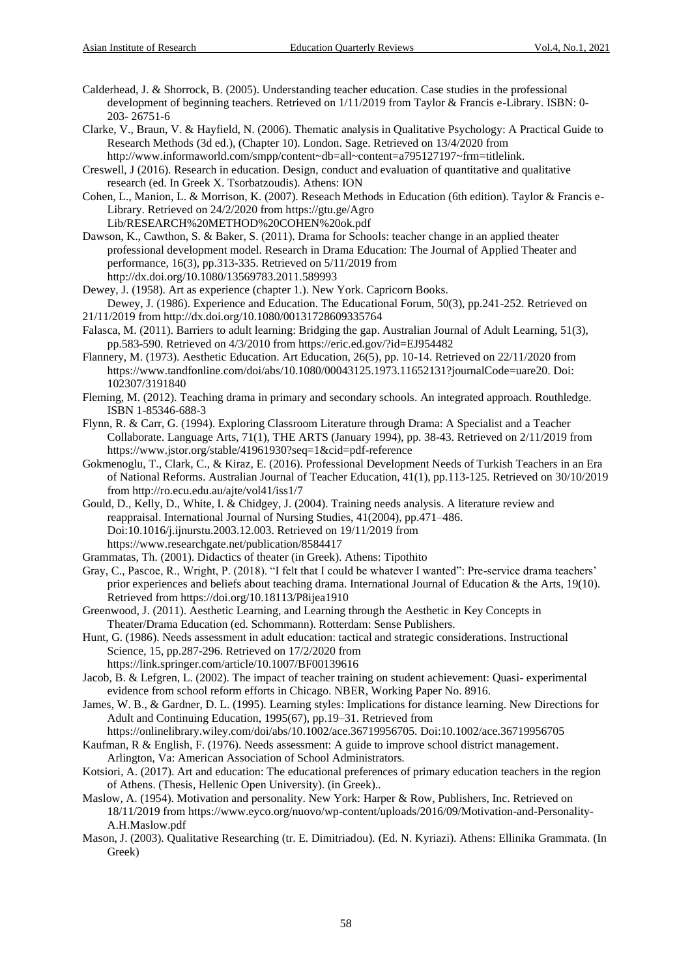- Calderhead, J. & Shorrock, B. (2005). Understanding teacher education. Case studies in the professional development of beginning teachers. Retrieved on 1/11/2019 from Taylor & Francis e-Library. ISBN: 0- 203- 26751-6
- Clarke, V., Braun, V. & Hayfield, N. (2006). Thematic analysis in Qualitative Psychology: A Practical Guide to Research Methods (3d ed.), (Chapter 10). London. Sage. Retrieved on 13/4/2020 from http://www.informaworld.com/smpp/content~db=all~content=a795127197~frm=titlelink.
- Creswell, J (2016). Research in education. Design, conduct and evaluation of quantitative and qualitative research (ed. In Greek X. Tsorbatzoudis). Athens: ION
- Cohen, L., Manion, L. & Morrison, K. (2007). Reseach Methods in Education (6th edition). Taylor & Francis e-Library. Retrieved on 24/2/2020 from https://gtu.ge/Agro Lib/RESEARCH%20METHOD%20COHEN%20ok.pdf
- Dawson, K., Cawthon, S. & Baker, S. (2011). Drama for Schools: teacher change in an applied theater professional development model. Research in Drama Education: The Journal of Applied Theater and performance, 16(3), pp.313-335. Retrieved on 5/11/2019 from http://dx.doi.org/10.1080/13569783.2011.589993
- Dewey, J. (1958). Art as experience (chapter 1.). New York. Capricorn Books. Dewey, J. (1986). Experience and Education. The Educational Forum, 50(3), pp.241-252. Retrieved on
- 21/11/2019 from http://dx.doi.org/10.1080/00131728609335764
- Falasca, M. (2011). Barriers to adult learning: Bridging the gap. Australian Journal of Adult Learning, 51(3), pp.583-590. Retrieved on 4/3/2010 from https://eric.ed.gov/?id=EJ954482
- Flannery, M. (1973). Aesthetic Education. Art Education, 26(5), pp. 10-14. Retrieved on 22/11/2020 from https://www.tandfonline.com/doi/abs/10.1080/00043125.1973.11652131?journalCode=uare20. Doi: 102307/3191840
- Fleming, M. (2012). Teaching drama in primary and secondary schools. An integrated approach. Routhledge. ISBN 1-85346-688-3
- Flynn, R. & Carr, G. (1994). Exploring Classroom Literature through Drama: A Specialist and a Teacher Collaborate. Language Arts, 71(1), THE ARTS (January 1994), pp. 38-43. Retrieved on 2/11/2019 from https://www.jstor.org/stable/41961930?seq=1&cid=pdf-reference
- Gokmenoglu, T., Clark, C., & Kiraz, E. (2016). Professional Development Needs of Turkish Teachers in an Era of National Reforms. Australian Journal of Teacher Education, 41(1), pp.113-125. Retrieved on 30/10/2019 from http://ro.ecu.edu.au/ajte/vol41/iss1/7
- Gould, D., Kelly, D., White, I. & Chidgey, J. (2004). Training needs analysis. A literature review and reappraisal. International Journal of Nursing Studies, 41(2004), pp.471–486. Doi:10.1016/j.ijnurstu.2003.12.003. Retrieved on 19/11/2019 from https://www.researchgate.net/publication/8584417
- Grammatas, Th. (2001). Didactics of theater (in Greek). Athens: Tipothito
- Gray, C., Pascoe, R., Wright, P. (2018). "I felt that I could be whatever I wanted": Pre-service drama teachers' prior experiences and beliefs about teaching drama. International Journal of Education & the Arts, 19(10). Retrieved from https://doi.org/10.18113/P8ijea1910
- Greenwood, J. (2011). Aesthetic Learning, and Learning through the Aesthetic in Key Concepts in Theater/Drama Education (ed. Schommann). Rotterdam: Sense Publishers.
- Hunt, G. (1986). Needs assessment in adult education: tactical and strategic considerations. Instructional Science, 15, pp.287-296. Retrieved on 17/2/2020 from https://link.springer.com/article/10.1007/BF00139616
- Jacob, B. & Lefgren, L. (2002). The impact of teacher training on student achievement: Quasi- experimental evidence from school reform efforts in Chicago. NBER, Working Paper No. 8916.
- James, W. B., & Gardner, D. L. (1995). Learning styles: Implications for distance learning. New Directions for Adult and Continuing Education, 1995(67), pp.19–31. Retrieved from
- https://onlinelibrary.wiley.com/doi/abs/10.1002/ace.36719956705. Doi:10.1002/ace.36719956705
- Kaufman, R & English, F. (1976). Needs assessment: A guide to improve school district management. Arlington, Va: American Association of School Administrators.
- Kotsiori, A. (2017). Art and education: The educational preferences of primary education teachers in the region of Athens. (Thesis, Hellenic Open University). (in Greek)..
- Maslow, A. (1954). Motivation and personality. New York: Harper & Row, Publishers, Inc. Retrieved on 18/11/2019 from https://www.eyco.org/nuovo/wp-content/uploads/2016/09/Motivation-and-Personality-A.H.Maslow.pdf
- Mason, J. (2003). Qualitative Researching (tr. E. Dimitriadou). (Ed. N. Kyriazi). Athens: Ellinika Grammata. (In Greek)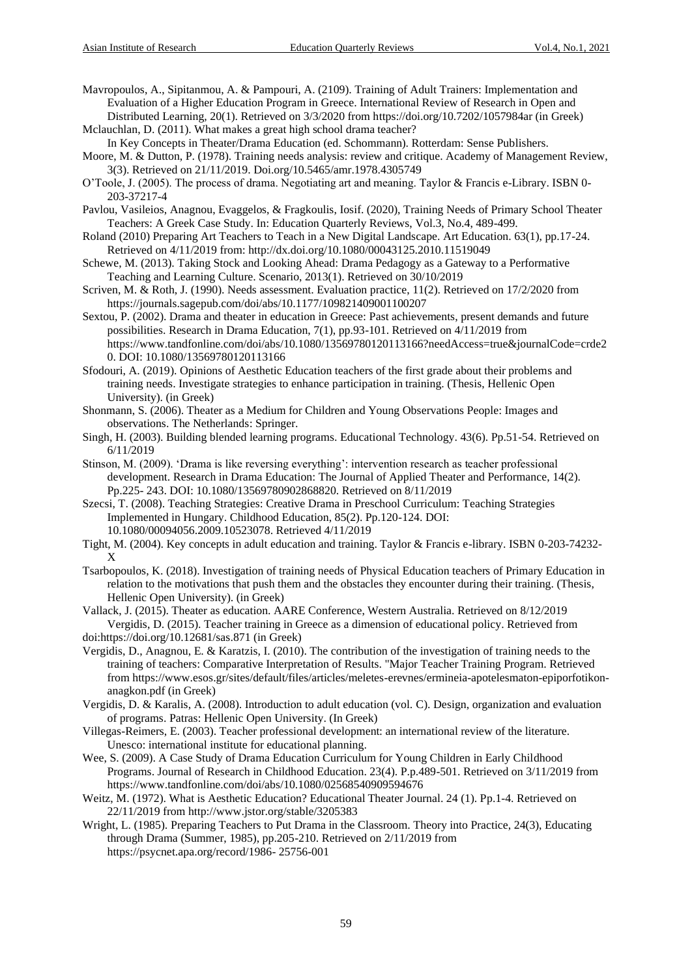Mavropoulos, A., Sipitanmou, A. & Pampouri, A. (2109). Training of Adult Trainers: Implementation and Evaluation of a Higher Education Program in Greece. International Review of Research in Open and Distributed Learning, 20(1). Retrieved on 3/3/2020 from https://doi.org/10.7202/1057984ar (in Greek)

Mclauchlan, D. (2011). What makes a great high school drama teacher?

In Key Concepts in Theater/Drama Education (ed. Schommann). Rotterdam: Sense Publishers. Moore, M. & Dutton, P. (1978). Training needs analysis: review and critique. Academy of Management Review, 3(3). Retrieved on 21/11/2019. Doi.org/10.5465/amr.1978.4305749

O'Toole, J. (2005). The process of drama. Negotiating art and meaning. Taylor & Francis e-Library. ISBN 0- 203-37217-4

Pavlou, Vasileios, Anagnou, Evaggelos, & Fragkoulis, Iosif. (2020), Training Needs of Primary School Theater Teachers: A Greek Case Study. In: Education Quarterly Reviews, Vol.3, No.4, 489-499.

- Roland (2010) Preparing Art Teachers to Teach in a New Digital Landscape. Art Education. 63(1), pp.17-24. Retrieved on 4/11/2019 from: http://dx.doi.org/10.1080/00043125.2010.11519049
- Schewe, M. (2013). Taking Stock and Looking Ahead: Drama Pedagogy as a Gateway to a Performative Teaching and Learning Culture. Scenario, 2013(1). Retrieved on 30/10/2019
- Scriven, M. & Roth, J. (1990). Needs assessment. Evaluation practice, 11(2). Retrieved on 17/2/2020 from https://journals.sagepub.com/doi/abs/10.1177/109821409001100207
- Sextou, P. (2002). Drama and theater in education in Greece: Past achievements, present demands and future possibilities. Research in Drama Education, 7(1), pp.93-101. Retrieved on 4/11/2019 from https://www.tandfonline.com/doi/abs/10.1080/13569780120113166?needAccess=true&journalCode=crde2 0. DOI: 10.1080/13569780120113166

Sfodouri, A. (2019). Opinions of Aesthetic Education teachers of the first grade about their problems and training needs. Investigate strategies to enhance participation in training. (Thesis, Hellenic Open University). (in Greek)

Shonmann, S. (2006). Theater as a Medium for Children and Young Observations People: Images and observations. The Netherlands: Springer.

Singh, H. (2003). Building blended learning programs. Educational Technology. 43(6). Pp.51-54. Retrieved on 6/11/2019

Stinson, M. (2009). 'Drama is like reversing everything': intervention research as teacher professional development. Research in Drama Education: The Journal of Applied Theater and Performance, 14(2). Pp.225- 243. DOI: 10.1080/13569780902868820. Retrieved on 8/11/2019

- Szecsi, T. (2008). Teaching Strategies: Creative Drama in Preschool Curriculum: Teaching Strategies Implemented in Hungary. Childhood Education, 85(2). Pp.120-124. DOI: 10.1080/00094056.2009.10523078. Retrieved 4/11/2019
- Tight, M. (2004). Key concepts in adult education and training. Taylor & Francis e-library. ISBN 0-203-74232- X
- Tsarbopoulos, K. (2018). Investigation of training needs of Physical Education teachers of Primary Education in relation to the motivations that push them and the obstacles they encounter during their training. (Thesis, Hellenic Open University). (in Greek)

Vallack, J. (2015). Theater as education. AARE Conference, Western Australia. Retrieved on 8/12/2019 Vergidis, D. (2015). Teacher training in Greece as a dimension of educational policy. Retrieved from doi:https://doi.org/10.12681/sas.871 (in Greek)

Vergidis, D., Anagnou, E. & Karatzis, I. (2010). The contribution of the investigation of training needs to the training of teachers: Comparative Interpretation of Results. "Major Teacher Training Program. Retrieved from https://www.esos.gr/sites/default/files/articles/meletes-erevnes/ermineia-apotelesmaton-epiporfotikonanagkon.pdf (in Greek)

Vergidis, D. & Karalis, A. (2008). Introduction to adult education (vol. C). Design, organization and evaluation of programs. Patras: Hellenic Open University. (In Greek)

Villegas-Reimers, E. (2003). Teacher professional development: an international review of the literature. Unesco: international institute for educational planning.

Wee, S. (2009). A Case Study of Drama Education Curriculum for Young Children in Early Childhood Programs. Journal of Research in Childhood Education. 23(4). P.p.489-501. Retrieved on 3/11/2019 from https://www.tandfonline.com/doi/abs/10.1080/02568540909594676

Weitz, M. (1972). What is Aesthetic Education? Educational Theater Journal. 24 (1). Pp.1-4. Retrieved on 22/11/2019 from http://www.jstor.org/stable/3205383

Wright, L. (1985). Preparing Teachers to Put Drama in the Classroom. Theory into Practice, 24(3), Educating through Drama (Summer, 1985), pp.205-210. Retrieved on 2/11/2019 from https://psycnet.apa.org/record/1986- 25756-001